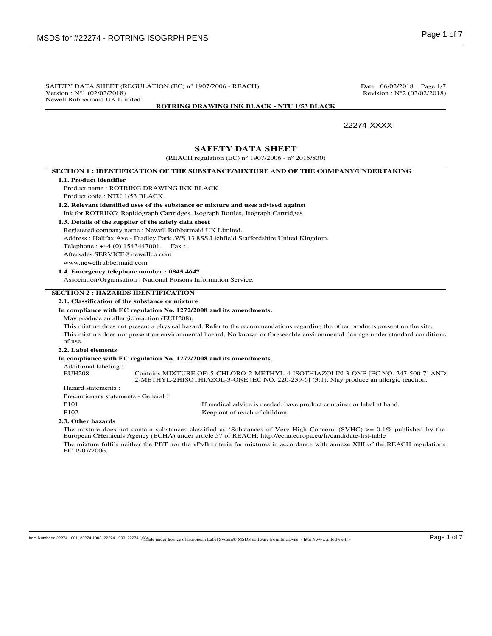SAFETY DATA SHEET (REGULATION (EC)  $n^{\circ}$  1907/2006 - REACH) Date : 06/02/2018 Page 1/7<br>Version :  $N^{\circ}$ 1 (02/02/2018) Revision : N°2 (02/02/2018) Newell Rubbermaid UK Limited

**ROTRING DRAWING INK BLACK - NTU 1/53 BLACK**

Revision :  $N°2 (02/02/2018)$ 

### 22274-XXXX

# **SAFETY DATA SHEET**

(REACH regulation (EC) n° 1907/2006 - n° 2015/830)

#### **SECTION 1 : IDENTIFICATION OF THE SUBSTANCE/MIXTURE AND OF THE COMPANY/UNDERTAKING**

#### **1.1. Product identifier**

Product name : ROTRING DRAWING INK BLACK Product code : NTU 1/53 BLACK.

#### **1.2. Relevant identified uses of the substance or mixture and uses advised against** Ink for ROTRING: Rapidograph Cartridges, Isograph Bottles, Isograph Cartridges

**1.3. Details of the supplier of the safety data sheet**

# Registered company name : Newell Rubbermaid UK Limited.

Address : Halifax Ave - Fradley Park .WS 13 8SS.Lichfield Staffordshire.United Kingdom.

Telephone : +44 (0) 1543447001. Fax : .

Aftersales.SERVICE@newellco.com

www.newellrubbermaid.com

#### **1.4. Emergency telephone number : 0845 4647.**

Association/Organisation : National Poisons Information Service.

### **SECTION 2 : HAZARDS IDENTIFICATION**

**2.1. Classification of the substance or mixture**

### **In compliance with EC regulation No. 1272/2008 and its amendments.**

May produce an allergic reaction (EUH208).

This mixture does not present a physical hazard. Refer to the recommendations regarding the other products present on the site.

This mixture does not present an environmental hazard. No known or foreseeable environmental damage under standard conditions of use.

### **2.2. Label elements**

**In compliance with EC regulation No. 1272/2008 and its amendments.**

Additional labeling :

Contains MIXTURE OF: 5-CHLORO-2-METHYL-4-ISOTHIAZOLIN-3-ONE [EC NO. 247-500-7] AND 2-METHYL-2HISOTHIAZOL-3-ONE [EC NO. 220-239-6] (3:1). May produce an allergic reaction.

Hazard statements : Precautionary statements - General :

P101 If medical advice is needed, have product container or label at hand. P102 Keep out of reach of children.

#### **2.3. Other hazards**

The mixture does not contain substances classified as 'Substances of Very High Concern' (SVHC)  $\geq 0.1\%$  published by the European CHemicals Agency (ECHA) under article 57 of REACH: http://echa.europa.eu/fr/candidate-list-table The mixture fulfils neither the PBT nor the vPvB criteria for mixtures in accordance with annexe XIII of the REACH regulations EC 1907/2006.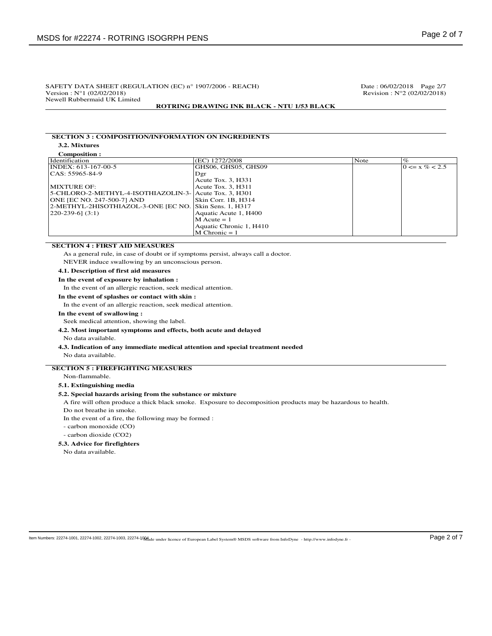Revision :  $N°2 (02/02/2018)$ 

 $0 \le x \% < 2.5$ 

# SAFETY DATA SHEET (REGULATION (EC) n° 1907/2006 - REACH) Date : 06/02/2018 Page 2/7<br>Version : N°1 (02/02/2018) Revision : N°2 (02/02/2018) Newell Rubbermaid UK Limited

### **ROTRING DRAWING INK BLACK - NTU 1/53 BLACK**

# **SECTION 3 : COMPOSITION/INFORMATION ON INGREDIENTS**

**3.2. Mixtures**

| (EC) 1272/2008        | Note                                                                                                               | $\%$ |
|-----------------------|--------------------------------------------------------------------------------------------------------------------|------|
| GHS06, GHS05, GHS09   |                                                                                                                    | 10   |
| Dgr                   |                                                                                                                    |      |
| Acute Tox. 3, H331    |                                                                                                                    |      |
| Acute Tox. 3. H311    |                                                                                                                    |      |
|                       |                                                                                                                    |      |
| Skin Corr. 1B. H314   |                                                                                                                    |      |
|                       |                                                                                                                    |      |
| Aquatic Acute 1, H400 |                                                                                                                    |      |
|                       | 5-CHLORO-2-METHYL-4-ISOTHIAZOLIN-3-   Acute Tox. 3. H301<br>2-METHYL-2HISOTHIAZOL-3-ONE [EC NO. Skin Sens. 1, H317 |      |

 $M$  Acute = 1

 $\dot{M}$  Chronic = 1

Aquatic Chronic 1, H410

#### **SECTION 4 : FIRST AID MEASURES**

As a general rule, in case of doubt or if symptoms persist, always call a doctor.

NEVER induce swallowing by an unconscious person.

### **4.1. Description of first aid measures**

**In the event of exposure by inhalation :**

In the event of an allergic reaction, seek medical attention.

**In the event of splashes or contact with skin :**

In the event of an allergic reaction, seek medical attention.

**In the event of swallowing :**

Seek medical attention, showing the label.

### **4.2. Most important symptoms and effects, both acute and delayed**

No data available.

**4.3. Indication of any immediate medical attention and special treatment needed**

#### No data available.

### **SECTION 5 : FIREFIGHTING MEASURES**

Non-flammable.

### **5.1. Extinguishing media**

### **5.2. Special hazards arising from the substance or mixture**

A fire will often produce a thick black smoke. Exposure to decomposition products may be hazardous to health.

Do not breathe in smoke.

In the event of a fire, the following may be formed :

- carbon monoxide (CO)

- carbon dioxide (CO2)

#### **5.3. Advice for firefighters**

No data available.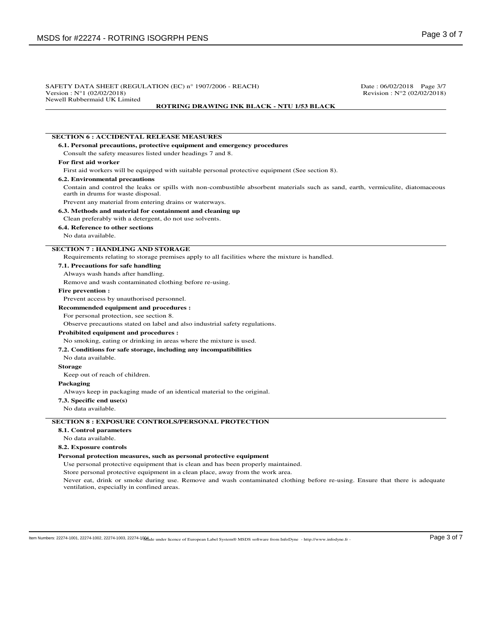| Version: N°1 (02/02/2018)                                  | SAFETY DATA SHEET (REGULATION (EC) n° 1907/2006 - REACH)                                                                        | Date: 06/02/2018 Page 3/7<br>Revision: $N^{\circ}2$ (02/02/2018) |
|------------------------------------------------------------|---------------------------------------------------------------------------------------------------------------------------------|------------------------------------------------------------------|
| Newell Rubbermaid UK Limited                               | <b>ROTRING DRAWING INK BLACK - NTU 1/53 BLACK</b>                                                                               |                                                                  |
|                                                            |                                                                                                                                 |                                                                  |
|                                                            |                                                                                                                                 |                                                                  |
| <b>SECTION 6 : ACCIDENTAL RELEASE MEASURES</b>             |                                                                                                                                 |                                                                  |
|                                                            | 6.1. Personal precautions, protective equipment and emergency procedures                                                        |                                                                  |
| Consult the safety measures listed under headings 7 and 8. |                                                                                                                                 |                                                                  |
| For first aid worker                                       |                                                                                                                                 |                                                                  |
|                                                            | First aid workers will be equipped with suitable personal protective equipment (See section 8).                                 |                                                                  |
| <b>6.2. Environmental precautions</b>                      |                                                                                                                                 |                                                                  |
| earth in drums for waste disposal.                         | Contain and control the leaks or spills with non-combustible absorbent materials such as sand, earth, vermiculite, diatomaceous |                                                                  |
| Prevent any material from entering drains or waterways.    |                                                                                                                                 |                                                                  |
| 6.3. Methods and material for containment and cleaning up  |                                                                                                                                 |                                                                  |
| Clean preferably with a detergent, do not use solvents.    |                                                                                                                                 |                                                                  |
| 6.4. Reference to other sections                           |                                                                                                                                 |                                                                  |
| No data available.                                         |                                                                                                                                 |                                                                  |
| <b>SECTION 7: HANDLING AND STORAGE</b>                     |                                                                                                                                 |                                                                  |
|                                                            | Requirements relating to storage premises apply to all facilities where the mixture is handled.                                 |                                                                  |
| 7.1. Precautions for safe handling                         |                                                                                                                                 |                                                                  |
| Always wash hands after handling.                          |                                                                                                                                 |                                                                  |
| Remove and wash contaminated clothing before re-using.     |                                                                                                                                 |                                                                  |
| <b>Fire prevention:</b>                                    |                                                                                                                                 |                                                                  |
| Prevent access by unauthorised personnel.                  |                                                                                                                                 |                                                                  |
| <b>Recommended equipment and procedures :</b>              |                                                                                                                                 |                                                                  |
| For personal protection, see section 8.                    |                                                                                                                                 |                                                                  |
|                                                            | Observe precautions stated on label and also industrial safety regulations.                                                     |                                                                  |
| <b>Prohibited equipment and procedures:</b>                |                                                                                                                                 |                                                                  |
|                                                            | No smoking, eating or drinking in areas where the mixture is used.                                                              |                                                                  |
|                                                            | 7.2. Conditions for safe storage, including any incompatibilities                                                               |                                                                  |
| No data available.                                         |                                                                                                                                 |                                                                  |
| <b>Storage</b>                                             |                                                                                                                                 |                                                                  |
| Keep out of reach of children.                             |                                                                                                                                 |                                                                  |
| Packaging                                                  |                                                                                                                                 |                                                                  |
|                                                            | Always keep in packaging made of an identical material to the original.                                                         |                                                                  |
| 7.3. Specific end use(s)                                   |                                                                                                                                 |                                                                  |
| No data available.                                         |                                                                                                                                 |                                                                  |
|                                                            | <b>SECTION 8 : EXPOSURE CONTROLS/PERSONAL PROTECTION</b>                                                                        |                                                                  |
| 8.1. Control parameters                                    |                                                                                                                                 |                                                                  |
| No data available.                                         |                                                                                                                                 |                                                                  |
| 8.2. Exposure controls                                     |                                                                                                                                 |                                                                  |
|                                                            | Personal protection measures, such as personal protective equipment                                                             |                                                                  |
|                                                            | Use personal protective equipment that is clean and has been properly maintained.                                               |                                                                  |
|                                                            | Store personal protective equipment in a clean place, away from the work area.                                                  |                                                                  |
| ventilation, especially in confined areas.                 | Never eat, drink or smoke during use. Remove and wash contaminated clothing before re-using. Ensure that there is adequate      |                                                                  |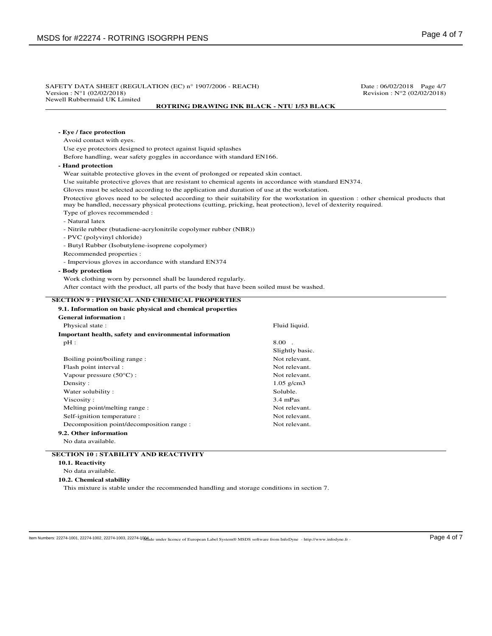| Version: $N^{\circ}1$ (02/02/2018)                                                                                                                                                                                                                       | SAFETY DATA SHEET (REGULATION (EC) n° 1907/2006 - REACH)<br>Date: 06/02/2018 Page 4/7<br>Revision : $N^{\circ}2$ (02/02/2018) |  |  |  |
|----------------------------------------------------------------------------------------------------------------------------------------------------------------------------------------------------------------------------------------------------------|-------------------------------------------------------------------------------------------------------------------------------|--|--|--|
| Newell Rubbermaid UK Limited<br><b>ROTRING DRAWING INK BLACK - NTU 1/53 BLACK</b>                                                                                                                                                                        |                                                                                                                               |  |  |  |
|                                                                                                                                                                                                                                                          |                                                                                                                               |  |  |  |
| - Eye / face protection                                                                                                                                                                                                                                  |                                                                                                                               |  |  |  |
| Avoid contact with eyes.                                                                                                                                                                                                                                 |                                                                                                                               |  |  |  |
| Use eye protectors designed to protect against liquid splashes                                                                                                                                                                                           |                                                                                                                               |  |  |  |
| Before handling, wear safety goggles in accordance with standard EN166.                                                                                                                                                                                  |                                                                                                                               |  |  |  |
| - Hand protection                                                                                                                                                                                                                                        |                                                                                                                               |  |  |  |
| Wear suitable protective gloves in the event of prolonged or repeated skin contact.                                                                                                                                                                      |                                                                                                                               |  |  |  |
| Use suitable protective gloves that are resistant to chemical agents in accordance with standard EN374.                                                                                                                                                  |                                                                                                                               |  |  |  |
| Gloves must be selected according to the application and duration of use at the workstation.                                                                                                                                                             |                                                                                                                               |  |  |  |
| Protective gloves need to be selected according to their suitability for the workstation in question : other chemical products that<br>may be handled, necessary physical protections (cutting, pricking, heat protection), level of dexterity required. |                                                                                                                               |  |  |  |
| Type of gloves recommended :                                                                                                                                                                                                                             |                                                                                                                               |  |  |  |
| - Natural latex                                                                                                                                                                                                                                          |                                                                                                                               |  |  |  |
| - Nitrile rubber (butadiene-acrylonitrile copolymer rubber (NBR))                                                                                                                                                                                        |                                                                                                                               |  |  |  |
| - PVC (polyvinyl chloride)                                                                                                                                                                                                                               |                                                                                                                               |  |  |  |
| - Butyl Rubber (Isobutylene-isoprene copolymer)                                                                                                                                                                                                          |                                                                                                                               |  |  |  |
| Recommended properties :                                                                                                                                                                                                                                 |                                                                                                                               |  |  |  |
| - Impervious gloves in accordance with standard EN374                                                                                                                                                                                                    |                                                                                                                               |  |  |  |
| <b>SECTION 9 : PHYSICAL AND CHEMICAL PROPERTIES</b><br>9.1. Information on basic physical and chemical properties                                                                                                                                        |                                                                                                                               |  |  |  |
| <b>General information:</b>                                                                                                                                                                                                                              |                                                                                                                               |  |  |  |
| Physical state:                                                                                                                                                                                                                                          | Fluid liquid.                                                                                                                 |  |  |  |
| Important health, safety and environmental information                                                                                                                                                                                                   |                                                                                                                               |  |  |  |
| $pH$ :                                                                                                                                                                                                                                                   | 8.00                                                                                                                          |  |  |  |
|                                                                                                                                                                                                                                                          | Slightly basic.                                                                                                               |  |  |  |
| Boiling point/boiling range:                                                                                                                                                                                                                             | Not relevant.                                                                                                                 |  |  |  |
| Flash point interval:                                                                                                                                                                                                                                    | Not relevant.                                                                                                                 |  |  |  |
| Vapour pressure $(50^{\circ}C)$ :                                                                                                                                                                                                                        | Not relevant.                                                                                                                 |  |  |  |
| Density:                                                                                                                                                                                                                                                 | $1.05$ g/cm3                                                                                                                  |  |  |  |
| Water solubility:                                                                                                                                                                                                                                        | Soluble.                                                                                                                      |  |  |  |
| Viscosity:                                                                                                                                                                                                                                               | $3.4 \text{ mPas}$                                                                                                            |  |  |  |
|                                                                                                                                                                                                                                                          | Not relevant.                                                                                                                 |  |  |  |
| Melting point/melting range:                                                                                                                                                                                                                             | Not relevant.                                                                                                                 |  |  |  |
| Self-ignition temperature :                                                                                                                                                                                                                              |                                                                                                                               |  |  |  |
| Decomposition point/decomposition range :                                                                                                                                                                                                                | Not relevant.                                                                                                                 |  |  |  |
| 9.2. Other information                                                                                                                                                                                                                                   |                                                                                                                               |  |  |  |
| No data available.                                                                                                                                                                                                                                       |                                                                                                                               |  |  |  |
|                                                                                                                                                                                                                                                          |                                                                                                                               |  |  |  |
| <b>SECTION 10 : STABILITY AND REACTIVITY</b><br>10.1. Reactivity<br>No data available.                                                                                                                                                                   |                                                                                                                               |  |  |  |

 $\log N$  Mumbers: 22274-1001, 22274-1002, 22274-1003, 22274-1004 e under licence of European Label System® MSDS software from InfoDyne - http://www.infodyne.fr -  $\log e$  4 of 7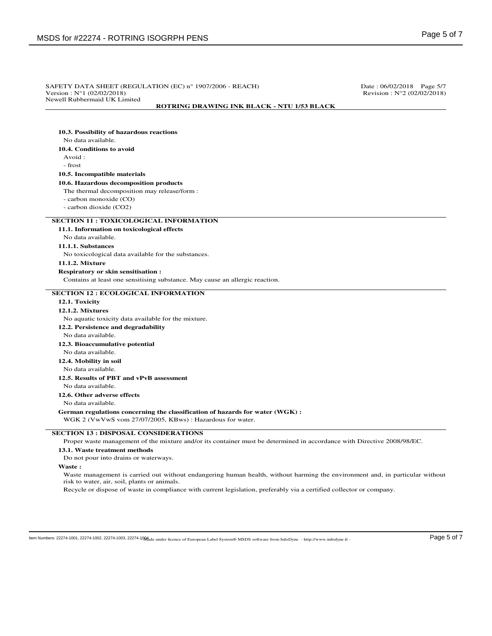# SAFETY DATA SHEET (REGULATION (EC)  $n^{\circ}$  1907/2006 - REACH) Date : 06/02/2018 Page 5/7<br>Version :  $N^{\circ}$ 1 (02/02/2018) Revision : N°2 (02/02/2018) Revision :  $N°2 (02/02/2018)$ Newell Rubbermaid UK Limited **ROTRING DRAWING INK BLACK - NTU 1/53 BLACK 10.3. Possibility of hazardous reactions** No data available. **10.4. Conditions to avoid** Avoid : - frost **10.5. Incompatible materials 10.6. Hazardous decomposition products** The thermal decomposition may release/form : - carbon monoxide (CO) - carbon dioxide (CO2) **SECTION 11 : TOXICOLOGICAL INFORMATION 11.1. Information on toxicological effects** No data available. **11.1.1. Substances** No toxicological data available for the substances. **11.1.2. Mixture Respiratory or skin sensitisation :** Contains at least one sensitising substance. May cause an allergic reaction. **SECTION 12 : ECOLOGICAL INFORMATION 12.1. Toxicity 12.1.2. Mixtures** No aquatic toxicity data available for the mixture. **12.2. Persistence and degradability** No data available. **12.3. Bioaccumulative potential** No data available. **12.4. Mobility in soil** No data available. **12.5. Results of PBT and vPvB assessment** No data available. **12.6. Other adverse effects** No data available. **German regulations concerning the classification of hazards for water (WGK) :** WGK 2 (VwVwS vom 27/07/2005, KBws) : Hazardous for water. **SECTION 13 : DISPOSAL CONSIDERATIONS** Proper waste management of the mixture and/or its container must be determined in accordance with Directive 2008/98/EC. **13.1. Waste treatment methods** Do not pour into drains or waterways. **Waste :** Waste management is carried out without endangering human health, without harming the environment and, in particular without risk to water, air, soil, plants or animals.

Recycle or dispose of waste in compliance with current legislation, preferably via a certified collector or company.

ltem Numbers: 22274-1001, 22274-1002, 22274-1003, 22274-1004, de under licence of European Label System® MSDS software from InfoDyne - http://www.infodyne.fr - Page 5 of 7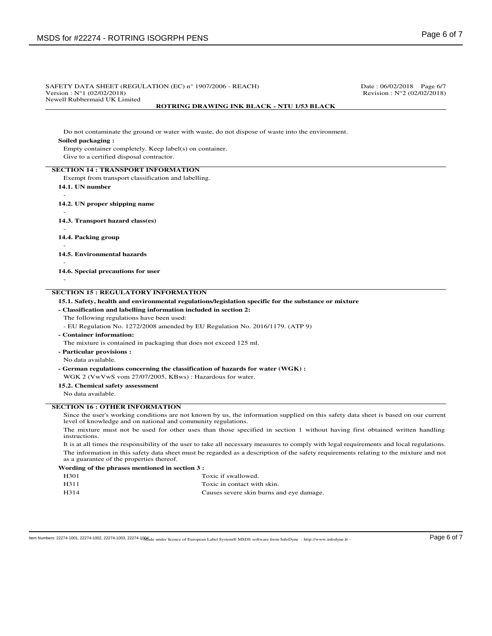#### SAFETY DATA SHEET (REGULATION (EC)  $n^{\circ}$  1907/2006 - REACH) Date : 06/02/2018 Page 6/7<br>Version :  $N^{\circ}$ 1 (02/02/2018) Revision : N°2 (02/02/2018) Revision :  $N°2 (02/02/2018)$ Newell Rubbermaid UK Limited **ROTRING DRAWING INK BLACK - NTU 1/53 BLACK**

Do not contaminate the ground or water with waste, do not dispose of waste into the environment.

#### **Soiled packaging :**

Empty container completely. Keep label(s) on container. Give to a certified disposal contractor.

#### **SECTION 14 : TRANSPORT INFORMATION**

Exempt from transport classification and labelling.

- **14.1. UN number**
- **14.2. UN proper shipping name**
- -

-

-

-

**14.3. Transport hazard class(es)**

- **14.4. Packing group**
- **14.5. Environmental hazards**

- **14.6. Special precautions for user**

- **SECTION 15 : REGULATORY INFORMATION**
	- **15.1. Safety, health and environmental regulations/legislation specific for the substance or mixture**

#### **- Classification and labelling information included in section 2:**

The following regulations have been used:

- EU Regulation No. 1272/2008 amended by EU Regulation No. 2016/1179. (ATP 9)
- **Container information:**

The mixture is contained in packaging that does not exceed 125 ml.

- **Particular provisions :**
- No data available.
- **German regulations concerning the classification of hazards for water (WGK) :**
- WGK 2 (VwVwS vom 27/07/2005, KBws) : Hazardous for water.
- **15.2. Chemical safety assessment**
- No data available.

### **SECTION 16 : OTHER INFORMATION**

Since the user's working conditions are not known by us, the information supplied on this safety data sheet is based on our current level of knowledge and on national and community regulations.

The mixture must not be used for other uses than those specified in section 1 without having first obtained written handling instructions.

It is at all times the responsibility of the user to take all necessary measures to comply with legal requirements and local regulations. The information in this safety data sheet must be regarded as a description of the safety requirements relating to the mixture and not as a guarantee of the properties thereof.

#### **Wording of the phrases mentioned in section 3 :**

| H301 | Toxic if swallowed.                      |
|------|------------------------------------------|
| H311 | Toxic in contact with skin.              |
| H314 | Causes severe skin burns and eye damage. |